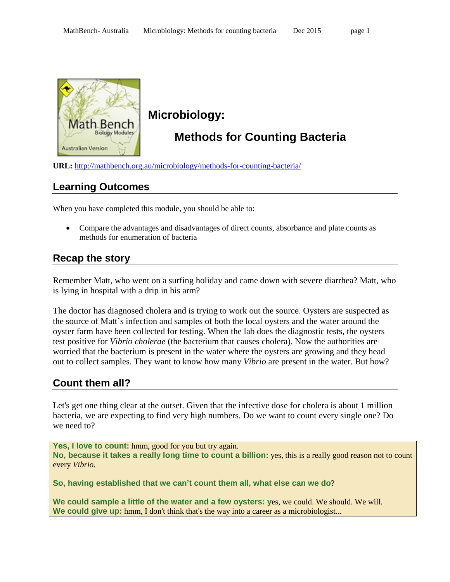

# **Microbiology:**

# **Methods for Counting Bacteria**

**URL:** <http://mathbench.org.au/microbiology/methods-for-counting-bacteria/>

## **Learning Outcomes**

When you have completed this module, you should be able to:

• Compare the advantages and disadvantages of direct counts, absorbance and plate counts as methods for enumeration of bacteria

## **Recap the story**

Remember Matt, who went on a surfing holiday and came down with severe diarrhea? Matt, who is lying in hospital with a drip in his arm?

The doctor has diagnosed cholera and is trying to work out the source. Oysters are suspected as the source of Matt's infection and samples of both the local oysters and the water around the oyster farm have been collected for testing. When the lab does the diagnostic tests, the oysters test positive for *Vibrio cholerae* (the bacterium that causes cholera). Now the authorities are worried that the bacterium is present in the water where the oysters are growing and they head out to collect samples. They want to know how many *Vibrio* are present in the water. But how?

# **Count them all?**

Let's get one thing clear at the outset. Given that the infective dose for cholera is about 1 million bacteria, we are expecting to find very high numbers. Do we want to count every single one? Do we need to?

Yes, I love to count: hmm, good for you but try again. **No, because it takes a really long time to count a billion:** yes, this is a really good reason not to count every *Vibrio.*

**So, having established that we can't count them all, what else can we do**?

**We could sample a little of the water and a few oysters: y**es, we could. We should. We will. **We could give up:** hmm, I don't think that's the way into a career as a microbiologist...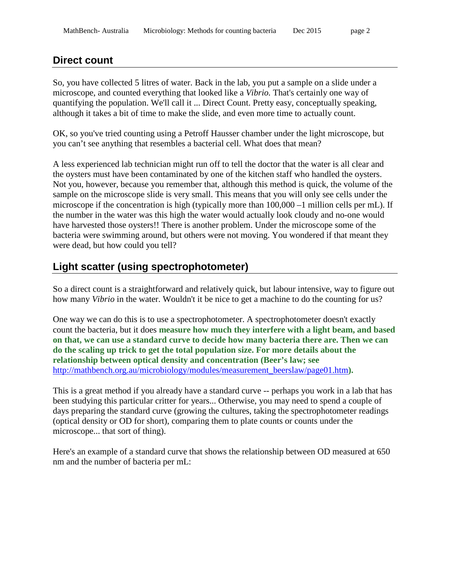#### **Direct count**

So, you have collected 5 litres of water. Back in the lab, you put a sample on a slide under a microscope, and counted everything that looked like a *Vibrio.* That's certainly one way of quantifying the population. We'll call it ... Direct Count. Pretty easy, conceptually speaking, although it takes a bit of time to make the slide, and even more time to actually count.

OK, so you've tried counting using a Petroff Hausser chamber under the light microscope, but you can't see anything that resembles a bacterial cell. What does that mean?

A less experienced lab technician might run off to tell the doctor that the water is all clear and the oysters must have been contaminated by one of the kitchen staff who handled the oysters. Not you, however, because you remember that, although this method is quick, the volume of the sample on the microscope slide is very small. This means that you will only see cells under the microscope if the concentration is high (typically more than 100,000 –1 million cells per mL). If the number in the water was this high the water would actually look cloudy and no-one would have harvested those oysters!! There is another problem. Under the microscope some of the bacteria were swimming around, but others were not moving. You wondered if that meant they were dead, but how could you tell?

# **Light scatter (using spectrophotometer)**

So a direct count is a straightforward and relatively quick, but labour intensive, way to figure out how many *Vibrio* in the water. Wouldn't it be nice to get a machine to do the counting for us?

One way we can do this is to use a spectrophotometer. A spectrophotometer doesn't exactly count the bacteria, but it does **measure how much they interfere with a light beam, and based on that, we can use a standard curve to decide how many bacteria there are. Then we can do the scaling up trick to get the total population size. For more details about the relationship between optical density and concentration (Beer's law; see**  [http://mathbench.org.au/microbiology/modules/measurement\\_beerslaw/page01.htm](http://mathbench.org.au/microbiology/modules/measurement_beerslaw/page01.htm)**).**

This is a great method if you already have a standard curve -- perhaps you work in a lab that has been studying this particular critter for years... Otherwise, you may need to spend a couple of days preparing the standard curve (growing the cultures, taking the spectrophotometer readings (optical density or OD for short), comparing them to plate counts or counts under the microscope... that sort of thing).

Here's an example of a standard curve that shows the relationship between OD measured at 650 nm and the number of bacteria per mL: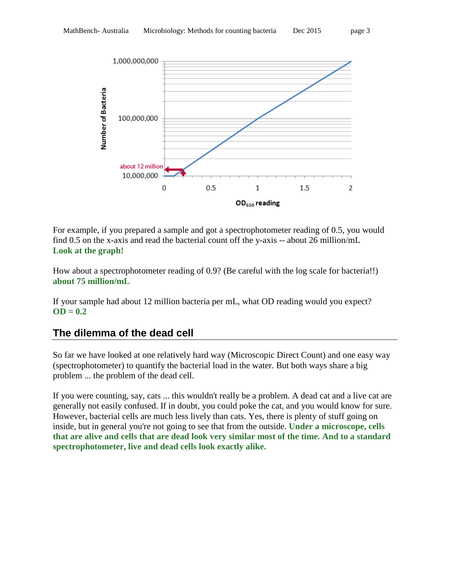

For example, if you prepared a sample and got a spectrophotometer reading of 0.5, you would find 0.5 on the x-axis and read the bacterial count off the y-axis -- about 26 million/mL **Look at the graph!**

How about a spectrophotometer reading of 0.9? (Be careful with the log scale for bacteria!!) **about 75 million/mL**

If your sample had about 12 million bacteria per mL, what OD reading would you expect? **OD = 0.2**

# **The dilemma of the dead cell**

So far we have looked at one relatively hard way (Microscopic Direct Count) and one easy way (spectrophotometer) to quantify the bacterial load in the water. But both ways share a big problem ... the problem of the dead cell.

If you were counting, say, cats ... this wouldn't really be a problem. A dead cat and a live cat are generally not easily confused. If in doubt, you could poke the cat, and you would know for sure. However, bacterial cells are much less lively than cats. Yes, there is plenty of stuff going on inside, but in general you're not going to see that from the outside. **Under a microscope, cells that are alive and cells that are dead look very similar most of the time. And to a standard spectrophotometer, live and dead cells look exactly alike.**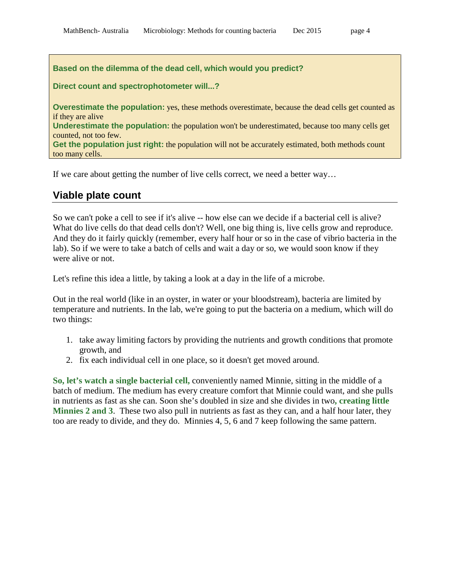#### **Based on the dilemma of the dead cell, which would you predict?**

#### **Direct count and spectrophotometer will...?**

**Overestimate the population:** yes, these methods overestimate, because the dead cells get counted as if they are alive

**Underestimate the population:** the population won't be underestimated, because too many cells get counted, not too few.

Get the population just right: the population will not be accurately estimated, both methods count too many cells.

If we care about getting the number of live cells correct, we need a better way…

#### **Viable plate count**

So we can't poke a cell to see if it's alive -- how else can we decide if a bacterial cell is alive? What do live cells do that dead cells don't? Well, one big thing is, live cells grow and reproduce. And they do it fairly quickly (remember, every half hour or so in the case of vibrio bacteria in the lab). So if we were to take a batch of cells and wait a day or so, we would soon know if they were alive or not.

Let's refine this idea a little, by taking a look at a day in the life of a microbe.

Out in the real world (like in an oyster, in water or your bloodstream), bacteria are limited by temperature and nutrients. In the lab, we're going to put the bacteria on a medium, which will do two things:

- 1. take away limiting factors by providing the nutrients and growth conditions that promote growth, and
- 2. fix each individual cell in one place, so it doesn't get moved around.

**So, let's watch a single bacterial cell,** conveniently named Minnie, sitting in the middle of a batch of medium. The medium has every creature comfort that Minnie could want, and she pulls in nutrients as fast as she can. Soon she's doubled in size and she divides in two**, creating little Minnies 2 and 3**. These two also pull in nutrients as fast as they can, and a half hour later, they too are ready to divide, and they do. Minnies 4, 5, 6 and 7 keep following the same pattern.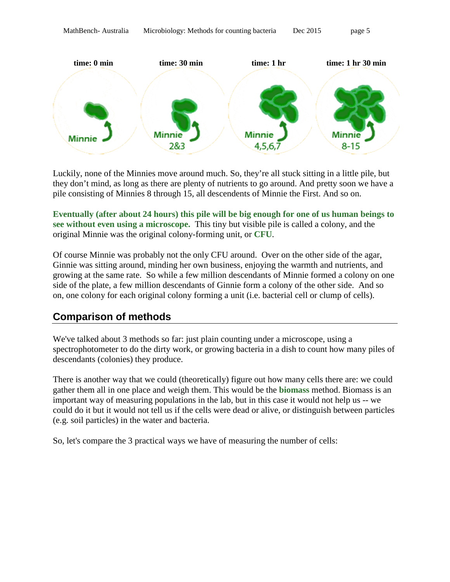

Luckily, none of the Minnies move around much. So, they're all stuck sitting in a little pile, but they don't mind, as long as there are plenty of nutrients to go around. And pretty soon we have a pile consisting of Minnies 8 through 15, all descendents of Minnie the First. And so on.

**Eventually (after about 24 hours) this pile will be big enough for one of us human beings to see without even using a microscope.** This tiny but visible pile is called a colony, and the original Minnie was the original colony-forming unit, or **CFU**.

Of course Minnie was probably not the only CFU around. Over on the other side of the agar, Ginnie was sitting around, minding her own business, enjoying the warmth and nutrients, and growing at the same rate. So while a few million descendants of Minnie formed a colony on one side of the plate, a few million descendants of Ginnie form a colony of the other side. And so on, one colony for each original colony forming a unit (i.e. bacterial cell or clump of cells).

## **Comparison of methods**

We've talked about 3 methods so far: just plain counting under a microscope, using a spectrophotometer to do the dirty work, or growing bacteria in a dish to count how many piles of descendants (colonies) they produce.

There is another way that we could (theoretically) figure out how many cells there are: we could gather them all in one place and weigh them. This would be the **biomass** method. Biomass is an important way of measuring populations in the lab, but in this case it would not help us -- we could do it but it would not tell us if the cells were dead or alive, or distinguish between particles (e.g. soil particles) in the water and bacteria.

So, let's compare the 3 practical ways we have of measuring the number of cells: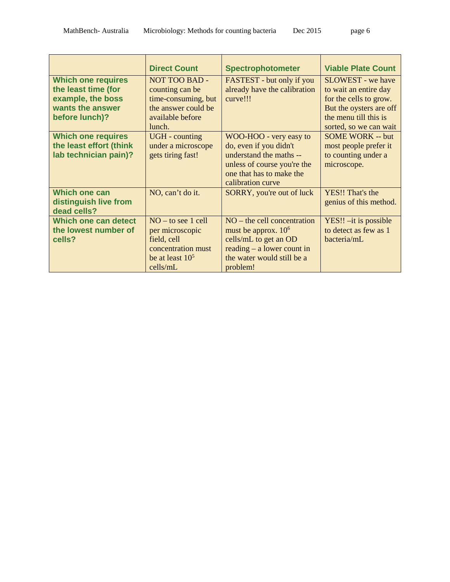|                                                                                                             | <b>Direct Count</b>                                                                                                 | <b>Spectrophotometer</b>                                                                                                                                    | <b>Viable Plate Count</b>                                                                                                                          |
|-------------------------------------------------------------------------------------------------------------|---------------------------------------------------------------------------------------------------------------------|-------------------------------------------------------------------------------------------------------------------------------------------------------------|----------------------------------------------------------------------------------------------------------------------------------------------------|
| <b>Which one requires</b><br>the least time (for<br>example, the boss<br>wants the answer<br>before lunch)? | <b>NOT TOO BAD -</b><br>counting can be<br>time-consuming, but<br>the answer could be<br>available before<br>lunch. | FASTEST - but only if you<br>already have the calibration<br>curve!!!                                                                                       | SLOWEST - we have<br>to wait an entire day<br>for the cells to grow.<br>But the oysters are off<br>the menu till this is<br>sorted, so we can wait |
| <b>Which one requires</b><br>the least effort (think<br>lab technician pain)?                               | <b>UGH</b> - counting<br>under a microscope<br>gets tiring fast!                                                    | WOO-HOO - very easy to<br>do, even if you didn't<br>understand the maths --<br>unless of course you're the<br>one that has to make the<br>calibration curve | <b>SOME WORK -- but</b><br>most people prefer it<br>to counting under a<br>microscope.                                                             |
| <b>Which one can</b><br>distinguish live from<br>dead cells?                                                | NO, can't do it.                                                                                                    | <b>SORRY</b> , you're out of luck                                                                                                                           | YES!! That's the<br>genius of this method.                                                                                                         |
| Which one can detect<br>the lowest number of<br>cells?                                                      | $NO - to see 1 cell$<br>per microscopic<br>field, cell<br>concentration must<br>be at least $10^5$<br>cells/mL      | $NO$ – the cell concentration<br>must be approx. $106$<br>cells/mL to get an OD<br>reading $-$ a lower count in<br>the water would still be a<br>problem!   | $YES!! - it$ is possible<br>to detect as few as 1<br>bacteria/mL                                                                                   |